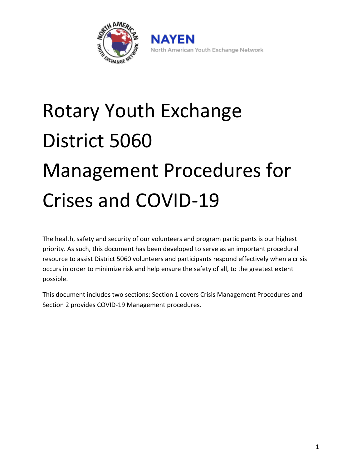

North American Youth Exchange Network

# Rotary Youth Exchange District 5060 Management Procedures for Crises and COVID-19

The health, safety and security of our volunteers and program participants is our highest priority. As such, this document has been developed to serve as an important procedural resource to assist District 5060 volunteers and participants respond effectively when a crisis occurs in order to minimize risk and help ensure the safety of all, to the greatest extent possible.

This document includes two sections: Section 1 covers Crisis Management Procedures and Section 2 provides COVID-19 Management procedures.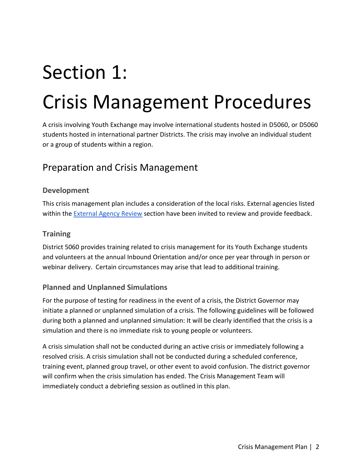# Section 1: Crisis Management Procedures

A crisis involving Youth Exchange may involve international students hosted in D5060, or D5060 students hosted in international partner Districts. The crisis may involve an individual student or a group of students within a region.

## Preparation and Crisis Management

#### **Development**

This crisis management plan includes a consideration of the local risks. External agencies listed within the [External Agency Review](#page-25-0) section have been invited to review and provide feedback.

#### **Training**

District 5060 provides training related to crisis management for its Youth Exchange students and volunteers at the annual Inbound Orientation and/or once per year through in person or webinar delivery. Certain circumstances may arise that lead to additional training.

#### **Planned and Unplanned Simulations**

For the purpose of testing for readiness in the event of a crisis, the District Governor may initiate a planned or unplanned simulation of a crisis. The following guidelines will be followed during both a planned and unplanned simulation: It will be clearly identified that the crisis is a simulation and there is no immediate risk to young people or volunteers.

A crisis simulation shall not be conducted during an active crisis or immediately following a resolved crisis. A crisis simulation shall not be conducted during a scheduled conference, training event, planned group travel, or other event to avoid confusion. The district governor will confirm when the crisis simulation has ended. The Crisis Management Team will immediately conduct a debriefing session as outlined in this plan.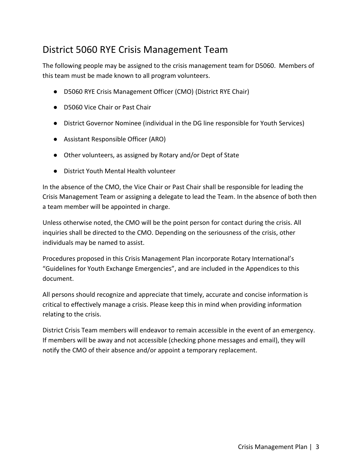## District 5060 RYE Crisis Management Team

The following people may be assigned to the crisis management team for D5060. Members of this team must be made known to all program volunteers.

- D5060 RYE Crisis Management Officer (CMO) (District RYE Chair)
- D5060 Vice Chair or Past Chair
- District Governor Nominee (individual in the DG line responsible for Youth Services)
- Assistant Responsible Officer (ARO)
- Other volunteers, as assigned by Rotary and/or Dept of State
- District Youth Mental Health volunteer

In the absence of the CMO, the Vice Chair or Past Chair shall be responsible for leading the Crisis Management Team or assigning a delegate to lead the Team. In the absence of both then a team member will be appointed in charge.

Unless otherwise noted, the CMO will be the point person for contact during the crisis. All inquiries shall be directed to the CMO. Depending on the seriousness of the crisis, other individuals may be named to assist.

Procedures proposed in this Crisis Management Plan incorporate Rotary International's "Guidelines for Youth Exchange Emergencies", and are included in the Appendices to this document.

All persons should recognize and appreciate that timely, accurate and concise information is critical to effectively manage a crisis. Please keep this in mind when providing information relating to the crisis.

District Crisis Team members will endeavor to remain accessible in the event of an emergency. If members will be away and not accessible (checking phone messages and email), they will notify the CMO of their absence and/or appoint a temporary replacement.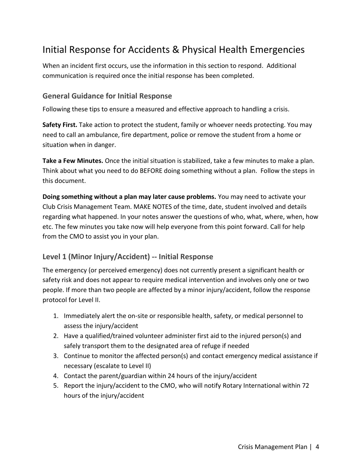## Initial Response for Accidents & Physical Health Emergencies

When an incident first occurs, use the information in this section to respond. Additional communication is required once the initial response has been completed.

#### **General Guidance for Initial Response**

Following these tips to ensure a measured and effective approach to handling a crisis.

**Safety First.** Take action to protect the student, family or whoever needs protecting. You may need to call an ambulance, fire department, police or remove the student from a home or situation when in danger.

**Take a Few Minutes.** Once the initial situation is stabilized, take a few minutes to make a plan. Think about what you need to do BEFORE doing something without a plan. Follow the steps in this document.

**Doing something without a plan may later cause problems.** You may need to activate your Club Crisis Management Team. MAKE NOTES of the time, date, student involved and details regarding what happened. In your notes answer the questions of who, what, where, when, how etc. The few minutes you take now will help everyone from this point forward. Call for help from the CMO to assist you in your plan.

#### **Level 1 (Minor Injury/Accident) -- Initial Response**

The emergency (or perceived emergency) does not currently present a significant health or safety risk and does not appear to require medical intervention and involves only one or two people. If more than two people are affected by a minor injury/accident, follow the response protocol for Level II.

- 1. Immediately alert the on-site or responsible health, safety, or medical personnel to assess the injury/accident
- 2. Have a qualified/trained volunteer administer first aid to the injured person(s) and safely transport them to the designated area of refuge if needed
- 3. Continue to monitor the affected person(s) and contact emergency medical assistance if necessary (escalate to Level II)
- 4. Contact the parent/guardian within 24 hours of the injury/accident
- 5. Report the injury/accident to the CMO, who will notify Rotary International within 72 hours of the injury/accident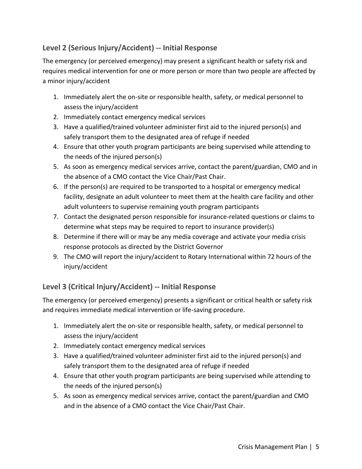## **Level 2 (Serious Injury/Accident) -- Initial Response**

The emergency (or perceived emergency) may present a significant health or safety risk and requires medical intervention for one or more person or more than two people are affected by a minor injury/accident

- 1. Immediately alert the on-site or responsible health, safety, or medical personnel to assess the injury/accident
- 2. Immediately contact emergency medical services
- 3. Have a qualified/trained volunteer administer first aid to the injured person(s) and safely transport them to the designated area of refuge if needed
- 4. Ensure that other youth program participants are being supervised while attending to the needs of the injured person(s)
- 5. As soon as emergency medical services arrive, contact the parent/guardian, CMO and in the absence of a CMO contact the Vice Chair/Past Chair.
- 6. If the person(s) are required to be transported to a hospital or emergency medical facility, designate an adult volunteer to meet them at the health care facility and other adult volunteers to supervise remaining youth program participants
- 7. Contact the designated person responsible for insurance-related questions or claims to determine what steps may be required to report to insurance provider(s)
- 8. Determine if there will or may be any media coverage and activate your media crisis response protocols as directed by the District Governor
- 9. The CMO will report the injury/accident to Rotary International within 72 hours of the injury/accident

## **Level 3 (Critical Injury/Accident) -- Initial Response**

The emergency (or perceived emergency) presents a significant or critical health or safety risk and requires immediate medical intervention or life-saving procedure.

- 1. Immediately alert the on-site or responsible health, safety, or medical personnel to assess the injury/accident
- 2. Immediately contact emergency medical services
- 3. Have a qualified/trained volunteer administer first aid to the injured person(s) and safely transport them to the designated area of refuge if needed
- 4. Ensure that other youth program participants are being supervised while attending to the needs of the injured person(s)
- 5. As soon as emergency medical services arrive, contact the parent/guardian and CMO and in the absence of a CMO contact the Vice Chair/Past Chair.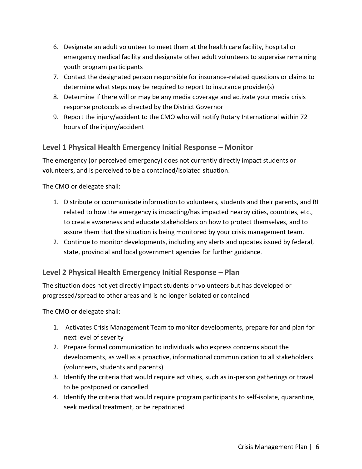- 6. Designate an adult volunteer to meet them at the health care facility, hospital or emergency medical facility and designate other adult volunteers to supervise remaining youth program participants
- 7. Contact the designated person responsible for insurance-related questions or claims to determine what steps may be required to report to insurance provider(s)
- 8. Determine if there will or may be any media coverage and activate your media crisis response protocols as directed by the District Governor
- 9. Report the injury/accident to the CMO who will notify Rotary International within 72 hours of the injury/accident

## **Level 1 Physical Health Emergency Initial Response – Monitor**

The emergency (or perceived emergency) does not currently directly impact students or volunteers, and is perceived to be a contained/isolated situation.

The CMO or delegate shall:

- 1. Distribute or communicate information to volunteers, students and their parents, and RI related to how the emergency is impacting/has impacted nearby cities, countries, etc., to create awareness and educate stakeholders on how to protect themselves, and to assure them that the situation is being monitored by your crisis management team.
- 2. Continue to monitor developments, including any alerts and updates issued by federal, state, provincial and local government agencies for further guidance.

#### **Level 2 Physical Health Emergency Initial Response – Plan**

The situation does not yet directly impact students or volunteers but has developed or progressed/spread to other areas and is no longer isolated or contained

The CMO or delegate shall:

- 1. Activates Crisis Management Team to monitor developments, prepare for and plan for next level of severity
- 2. Prepare formal communication to individuals who express concerns about the developments, as well as a proactive, informational communication to all stakeholders (volunteers, students and parents)
- 3. Identify the criteria that would require activities, such as in-person gatherings or travel to be postponed or cancelled
- 4. Identify the criteria that would require program participants to self-isolate, quarantine, seek medical treatment, or be repatriated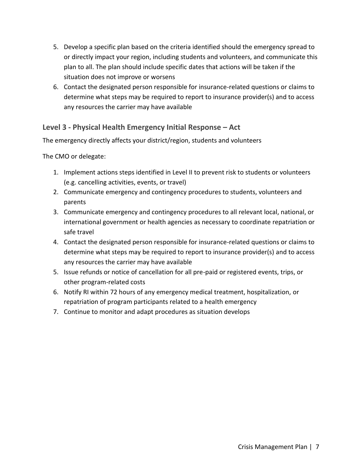- 5. Develop a specific plan based on the criteria identified should the emergency spread to or directly impact your region, including students and volunteers, and communicate this plan to all. The plan should include specific dates that actions will be taken if the situation does not improve or worsens
- 6. Contact the designated person responsible for insurance-related questions or claims to determine what steps may be required to report to insurance provider(s) and to access any resources the carrier may have available

## **Level 3 - Physical Health Emergency Initial Response – Act**

The emergency directly affects your district/region, students and volunteers

The CMO or delegate:

- 1. Implement actions steps identified in Level II to prevent risk to students or volunteers (e.g. cancelling activities, events, or travel)
- 2. Communicate emergency and contingency procedures to students, volunteers and parents
- 3. Communicate emergency and contingency procedures to all relevant local, national, or international government or health agencies as necessary to coordinate repatriation or safe travel
- 4. Contact the designated person responsible for insurance-related questions or claims to determine what steps may be required to report to insurance provider(s) and to access any resources the carrier may have available
- 5. Issue refunds or notice of cancellation for all pre-paid or registered events, trips, or other program-related costs
- 6. Notify RI within 72 hours of any emergency medical treatment, hospitalization, or repatriation of program participants related to a health emergency
- 7. Continue to monitor and adapt procedures as situation develops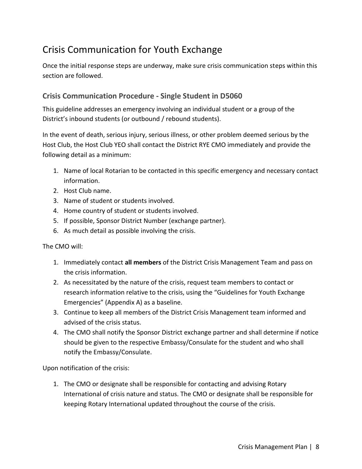## Crisis Communication for Youth Exchange

Once the initial response steps are underway, make sure crisis communication steps within this section are followed.

## **Crisis Communication Procedure - Single Student in D5060**

This guideline addresses an emergency involving an individual student or a group of the District's inbound students (or outbound / rebound students).

In the event of death, serious injury, serious illness, or other problem deemed serious by the Host Club, the Host Club YEO shall contact the District RYE CMO immediately and provide the following detail as a minimum:

- 1. Name of local Rotarian to be contacted in this specific emergency and necessary contact information.
- 2. Host Club name.
- 3. Name of student or students involved.
- 4. Home country of student or students involved.
- 5. If possible, Sponsor District Number (exchange partner).
- 6. As much detail as possible involving the crisis.

The CMO will:

- 1. Immediately contact **all members** of the District Crisis Management Team and pass on the crisis information.
- 2. As necessitated by the nature of the crisis, request team members to contact or research information relative to the crisis, using the "Guidelines for Youth Exchange Emergencies" (Appendix A) as a baseline.
- 3. Continue to keep all members of the District Crisis Management team informed and advised of the crisis status.
- 4. The CMO shall notify the Sponsor District exchange partner and shall determine if notice should be given to the respective Embassy/Consulate for the student and who shall notify the Embassy/Consulate.

Upon notification of the crisis:

1. The CMO or designate shall be responsible for contacting and advising Rotary International of crisis nature and status. The CMO or designate shall be responsible for keeping Rotary International updated throughout the course of the crisis.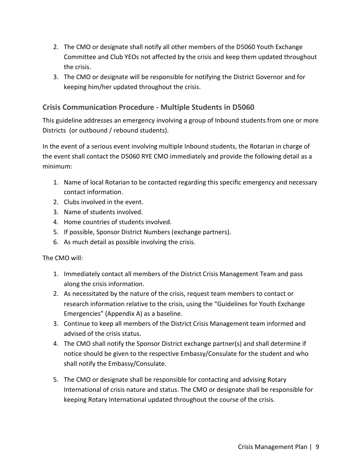- 2. The CMO or designate shall notify all other members of the D5060 Youth Exchange Committee and Club YEOs not affected by the crisis and keep them updated throughout the crisis.
- 3. The CMO or designate will be responsible for notifying the District Governor and for keeping him/her updated throughout the crisis.

## **Crisis Communication Procedure - Multiple Students in D5060**

This guideline addresses an emergency involving a group of Inbound students from one or more Districts (or outbound / rebound students).

In the event of a serious event involving multiple Inbound students, the Rotarian in charge of the event shall contact the D5060 RYE CMO immediately and provide the following detail as a minimum:

- 1. Name of local Rotarian to be contacted regarding this specific emergency and necessary contact information.
- 2. Clubs involved in the event.
- 3. Name of students involved.
- 4. Home countries of students involved.
- 5. If possible, Sponsor District Numbers (exchange partners).
- 6. As much detail as possible involving the crisis.

The CMO will:

- 1. Immediately contact all members of the District Crisis Management Team and pass along the crisis information.
- 2. As necessitated by the nature of the crisis, request team members to contact or research information relative to the crisis, using the "Guidelines for Youth Exchange Emergencies" (Appendix A) as a baseline.
- 3. Continue to keep all members of the District Crisis Management team informed and advised of the crisis status.
- 4. The CMO shall notify the Sponsor District exchange partner(s) and shall determine if notice should be given to the respective Embassy/Consulate for the student and who shall notify the Embassy/Consulate.
- 5. The CMO or designate shall be responsible for contacting and advising Rotary International of crisis nature and status. The CMO or designate shall be responsible for keeping Rotary International updated throughout the course of the crisis.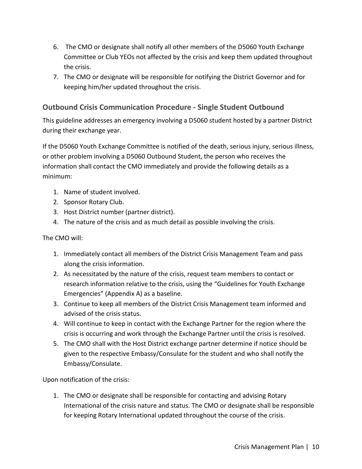- 6. The CMO or designate shall notify all other members of the D5060 Youth Exchange Committee or Club YEOs not affected by the crisis and keep them updated throughout the crisis.
- 7. The CMO or designate will be responsible for notifying the District Governor and for keeping him/her updated throughout the crisis.

## **Outbound Crisis Communication Procedure - Single Student Outbound**

This guideline addresses an emergency involving a D5060 student hosted by a partner District during their exchange year.

If the D5060 Youth Exchange Committee is notified of the death, serious injury, serious illness, or other problem involving a D5060 Outbound Student, the person who receives the information shall contact the CMO immediately and provide the following details as a minimum:

- 1. Name of student involved.
- 2. Sponsor Rotary Club.
- 3. Host District number (partner district).
- 4. The nature of the crisis and as much detail as possible involving the crisis.

The CMO will:

- 1. Immediately contact all members of the District Crisis Management Team and pass along the crisis information.
- 2. As necessitated by the nature of the crisis, request team members to contact or research information relative to the crisis, using the "Guidelines for Youth Exchange Emergencies" (Appendix A) as a baseline.
- 3. Continue to keep all members of the District Crisis Management team informed and advised of the crisis status.
- 4. Will continue to keep in contact with the Exchange Partner for the region where the crisis is occurring and work through the Exchange Partner until the crisis is resolved.
- 5. The CMO shall with the Host District exchange partner determine if notice should be given to the respective Embassy/Consulate for the student and who shall notify the Embassy/Consulate.

Upon notification of the crisis:

1. The CMO or designate shall be responsible for contacting and advising Rotary International of the crisis nature and status. The CMO or designate shall be responsible for keeping Rotary International updated throughout the course of the crisis.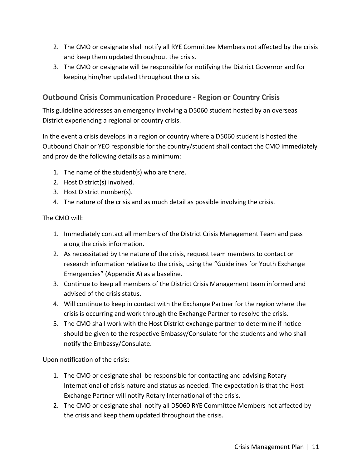- 2. The CMO or designate shall notify all RYE Committee Members not affected by the crisis and keep them updated throughout the crisis.
- 3. The CMO or designate will be responsible for notifying the District Governor and for keeping him/her updated throughout the crisis.

## **Outbound Crisis Communication Procedure - Region or Country Crisis**

This guideline addresses an emergency involving a D5060 student hosted by an overseas District experiencing a regional or country crisis.

In the event a crisis develops in a region or country where a D5060 student is hosted the Outbound Chair or YEO responsible for the country/student shall contact the CMO immediately and provide the following details as a minimum:

- 1. The name of the student(s) who are there.
- 2. Host District(s) involved.
- 3. Host District number(s).
- 4. The nature of the crisis and as much detail as possible involving the crisis.

The CMO will:

- 1. Immediately contact all members of the District Crisis Management Team and pass along the crisis information.
- 2. As necessitated by the nature of the crisis, request team members to contact or research information relative to the crisis, using the "Guidelines for Youth Exchange Emergencies" (Appendix A) as a baseline.
- 3. Continue to keep all members of the District Crisis Management team informed and advised of the crisis status.
- 4. Will continue to keep in contact with the Exchange Partner for the region where the crisis is occurring and work through the Exchange Partner to resolve the crisis.
- 5. The CMO shall work with the Host District exchange partner to determine if notice should be given to the respective Embassy/Consulate for the students and who shall notify the Embassy/Consulate.

Upon notification of the crisis:

- 1. The CMO or designate shall be responsible for contacting and advising Rotary International of crisis nature and status as needed. The expectation is that the Host Exchange Partner will notify Rotary International of the crisis.
- 2. The CMO or designate shall notify all D5060 RYE Committee Members not affected by the crisis and keep them updated throughout the crisis.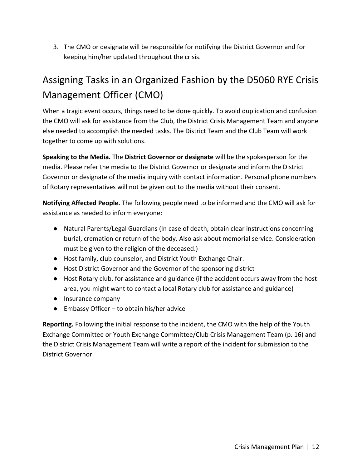3. The CMO or designate will be responsible for notifying the District Governor and for keeping him/her updated throughout the crisis.

## Assigning Tasks in an Organized Fashion by the D5060 RYE Crisis Management Officer (CMO)

When a tragic event occurs, things need to be done quickly. To avoid duplication and confusion the CMO will ask for assistance from the Club, the District Crisis Management Team and anyone else needed to accomplish the needed tasks. The District Team and the Club Team will work together to come up with solutions.

**Speaking to the Media.** The **District Governor or designate** will be the spokesperson for the media. Please refer the media to the District Governor or designate and inform the District Governor or designate of the media inquiry with contact information. Personal phone numbers of Rotary representatives will not be given out to the media without their consent.

**Notifying Affected People.** The following people need to be informed and the CMO will ask for assistance as needed to inform everyone:

- Natural Parents/Legal Guardians (In case of death, obtain clear instructions concerning burial, cremation or return of the body. Also ask about memorial service. Consideration must be given to the religion of the deceased.)
- Host family, club counselor, and District Youth Exchange Chair.
- Host District Governor and the Governor of the sponsoring district
- Host Rotary club, for assistance and guidance (if the accident occurs away from the host area, you might want to contact a local Rotary club for assistance and guidance)
- Insurance company
- Embassy Officer to obtain his/her advice

**Reporting.** Following the initial response to the incident, the CMO with the help of the Youth Exchange Committee or Youth Exchange Committee/Club Crisis Management Team (p. 16) and the District Crisis Management Team will write a report of the incident for submission to the District Governor.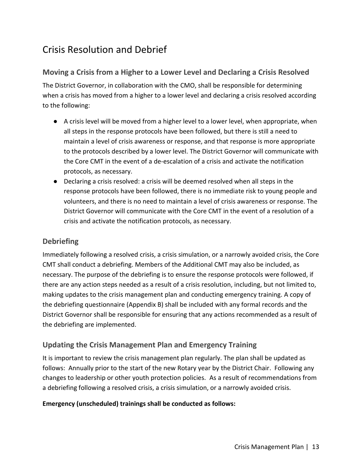## Crisis Resolution and Debrief

## **Moving a Crisis from a Higher to a Lower Level and Declaring a Crisis Resolved**

The District Governor, in collaboration with the CMO, shall be responsible for determining when a crisis has moved from a higher to a lower level and declaring a crisis resolved according to the following:

- A crisis level will be moved from a higher level to a lower level, when appropriate, when all steps in the response protocols have been followed, but there is still a need to maintain a level of crisis awareness or response, and that response is more appropriate to the protocols described by a lower level. The District Governor will communicate with the Core CMT in the event of a de-escalation of a crisis and activate the notification protocols, as necessary.
- Declaring a crisis resolved: a crisis will be deemed resolved when all steps in the response protocols have been followed, there is no immediate risk to young people and volunteers, and there is no need to maintain a level of crisis awareness or response. The District Governor will communicate with the Core CMT in the event of a resolution of a crisis and activate the notification protocols, as necessary.

## **Debriefing**

Immediately following a resolved crisis, a crisis simulation, or a narrowly avoided crisis, the Core CMT shall conduct a debriefing. Members of the Additional CMT may also be included, as necessary. The purpose of the debriefing is to ensure the response protocols were followed, if there are any action steps needed as a result of a crisis resolution, including, but not limited to, making updates to the crisis management plan and conducting emergency training. A copy of the debriefing questionnaire (Appendix B) shall be included with any formal records and the District Governor shall be responsible for ensuring that any actions recommended as a result of the debriefing are implemented.

## **Updating the Crisis Management Plan and Emergency Training**

It is important to review the crisis management plan regularly. The plan shall be updated as follows: Annually prior to the start of the new Rotary year by the District Chair. Following any changes to leadership or other youth protection policies. As a result of recommendations from a debriefing following a resolved crisis, a crisis simulation, or a narrowly avoided crisis.

#### **Emergency (unscheduled) trainings shall be conducted as follows:**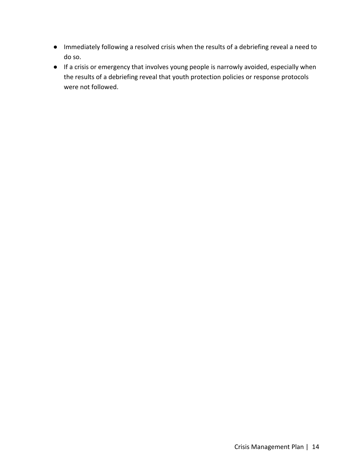- Immediately following a resolved crisis when the results of a debriefing reveal a need to do so.
- If a crisis or emergency that involves young people is narrowly avoided, especially when the results of a debriefing reveal that youth protection policies or response protocols were not followed.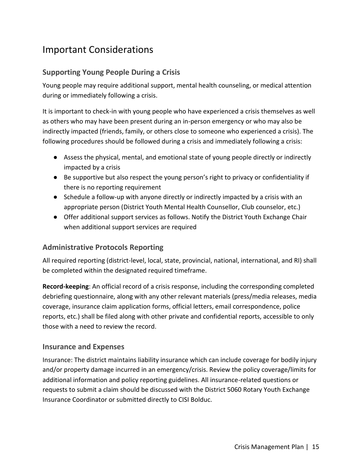## Important Considerations

## **Supporting Young People During a Crisis**

Young people may require additional support, mental health counseling, or medical attention during or immediately following a crisis.

It is important to check-in with young people who have experienced a crisis themselves as well as others who may have been present during an in-person emergency or who may also be indirectly impacted (friends, family, or others close to someone who experienced a crisis). The following procedures should be followed during a crisis and immediately following a crisis:

- Assess the physical, mental, and emotional state of young people directly or indirectly impacted by a crisis
- Be supportive but also respect the young person's right to privacy or confidentiality if there is no reporting requirement
- Schedule a follow-up with anyone directly or indirectly impacted by a crisis with an appropriate person (District Youth Mental Health Counsellor, Club counselor, etc.)
- Offer additional support services as follows. Notify the District Youth Exchange Chair when additional support services are required

## **Administrative Protocols Reporting**

All required reporting (district-level, local, state, provincial, national, international, and RI) shall be completed within the designated required timeframe.

**Record-keeping**: An official record of a crisis response, including the corresponding completed debriefing questionnaire, along with any other relevant materials (press/media releases, media coverage, insurance claim application forms, official letters, email correspondence, police reports, etc.) shall be filed along with other private and confidential reports, accessible to only those with a need to review the record.

#### **Insurance and Expenses**

Insurance: The district maintains liability insurance which can include coverage for bodily injury and/or property damage incurred in an emergency/crisis. Review the policy coverage/limits for additional information and policy reporting guidelines. All insurance-related questions or requests to submit a claim should be discussed with the District 5060 Rotary Youth Exchange Insurance Coordinator or submitted directly to CISI Bolduc.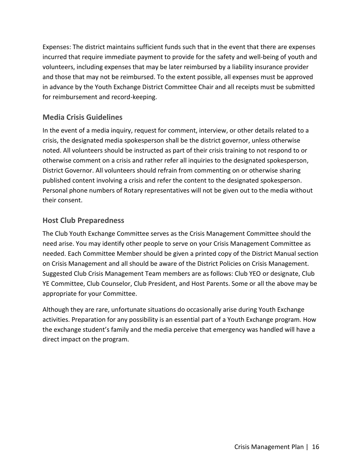Expenses: The district maintains sufficient funds such that in the event that there are expenses incurred that require immediate payment to provide for the safety and well-being of youth and volunteers, including expenses that may be later reimbursed by a liability insurance provider and those that may not be reimbursed. To the extent possible, all expenses must be approved in advance by the Youth Exchange District Committee Chair and all receipts must be submitted for reimbursement and record-keeping.

## **Media Crisis Guidelines**

In the event of a media inquiry, request for comment, interview, or other details related to a crisis, the designated media spokesperson shall be the district governor, unless otherwise noted. All volunteers should be instructed as part of their crisis training to not respond to or otherwise comment on a crisis and rather refer all inquiries to the designated spokesperson, District Governor. All volunteers should refrain from commenting on or otherwise sharing published content involving a crisis and refer the content to the designated spokesperson. Personal phone numbers of Rotary representatives will not be given out to the media without their consent.

## **Host Club Preparedness**

The Club Youth Exchange Committee serves as the Crisis Management Committee should the need arise. You may identify other people to serve on your Crisis Management Committee as needed. Each Committee Member should be given a printed copy of the District Manual section on Crisis Management and all should be aware of the District Policies on Crisis Management. Suggested Club Crisis Management Team members are as follows: Club YEO or designate, Club YE Committee, Club Counselor, Club President, and Host Parents. Some or all the above may be appropriate for your Committee.

Although they are rare, unfortunate situations do occasionally arise during Youth Exchange activities. Preparation for any possibility is an essential part of a Youth Exchange program. How the exchange student's family and the media perceive that emergency was handled will have a direct impact on the program.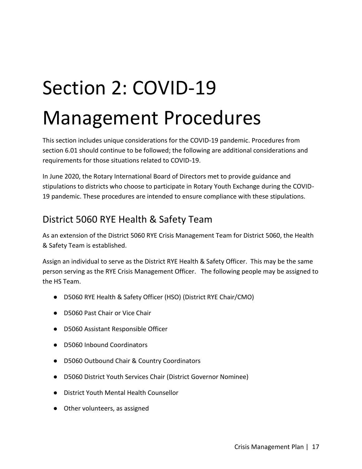# Section 2: COVID-19 Management Procedures

This section includes unique considerations for the COVID-19 pandemic. Procedures from section 6.01 should continue to be followed; the following are additional considerations and requirements for those situations related to COVID-19.

In June 2020, the Rotary International Board of Directors met to provide guidance and stipulations to districts who choose to participate in Rotary Youth Exchange during the COVID-19 pandemic. These procedures are intended to ensure compliance with these stipulations.

## District 5060 RYE Health & Safety Team

As an extension of the District 5060 RYE Crisis Management Team for District 5060, the Health & Safety Team is established.

Assign an individual to serve as the District RYE Health & Safety Officer. This may be the same person serving as the RYE Crisis Management Officer. The following people may be assigned to the HS Team.

- D5060 RYE Health & Safety Officer (HSO) (District RYE Chair/CMO)
- D5060 Past Chair or Vice Chair
- D5060 Assistant Responsible Officer
- D5060 Inbound Coordinators
- D5060 Outbound Chair & Country Coordinators
- D5060 District Youth Services Chair (District Governor Nominee)
- District Youth Mental Health Counsellor
- Other volunteers, as assigned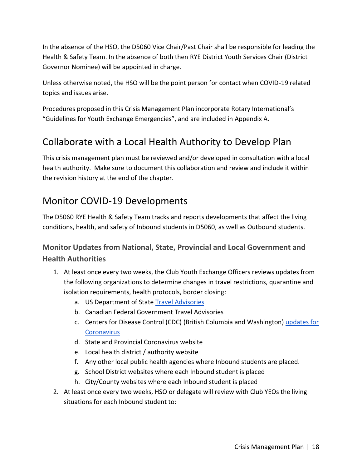In the absence of the HSO, the D5060 Vice Chair/Past Chair shall be responsible for leading the Health & Safety Team. In the absence of both then RYE District Youth Services Chair (District Governor Nominee) will be appointed in charge.

Unless otherwise noted, the HSO will be the point person for contact when COVID-19 related topics and issues arise.

Procedures proposed in this Crisis Management Plan incorporate Rotary International's "Guidelines for Youth Exchange Emergencies", and are included in Appendix A.

## Collaborate with a Local Health Authority to Develop Plan

This crisis management plan must be reviewed and/or developed in consultation with a local health authority. Make sure to document this collaboration and review and include it within the revision history at the end of the chapter.

## Monitor COVID-19 Developments

The D5060 RYE Health & Safety Team tracks and reports developments that affect the living conditions, health, and safety of Inbound students in D5060, as well as Outbound students.

## **Monitor Updates from National, State, Provincial and Local Government and Health Authorities**

- 1. At least once every two weeks, the Club Youth Exchange Officers reviews updates from the following organizations to determine changes in travel restrictions, quarantine and isolation requirements, health protocols, border closing:
	- a. US Department of State [Travel Advisories](https://travel.state.gov/content/travel/en/traveladvisories/traveladvisories.html/)
	- b. Canadian Federal Government Travel Advisories
	- c. Centers for Disease Control (CDC) (British Columbia and Washington) [updates for](https://www.cdc.gov/coronavirus/2019-ncov/index.html)  **[Coronavirus](https://www.cdc.gov/coronavirus/2019-ncov/index.html)**
	- d. State and Provincial Coronavirus website
	- e. Local health district / authority website
	- f. Any other local public health agencies where Inbound students are placed.
	- g. School District websites where each Inbound student is placed
	- h. City/County websites where each Inbound student is placed
- 2. At least once every two weeks, HSO or delegate will review with Club YEOs the living situations for each Inbound student to: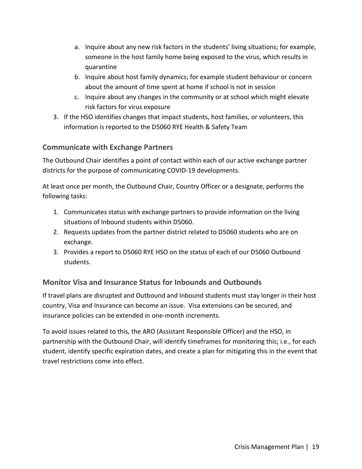- a. Inquire about any new risk factors in the students' living situations; for example, someone in the host family home being exposed to the virus, which results in quarantine
- b. Inquire about host family dynamics; for example student behaviour or concern about the amount of time spent at home if school is not in session
- c. Inquire about any changes in the community or at school which might elevate risk factors for virus exposure
- 3. If the HSO identifies changes that impact students, host families, or volunteers, this information is reported to the D5060 RYE Health & Safety Team

## **Communicate with Exchange Partners**

The Outbound Chair identifies a point of contact within each of our active exchange partner districts for the purpose of communicating COVID-19 developments.

At least once per month, the Outbound Chair, Country Officer or a designate, performs the following tasks:

- 1. Communicates status with exchange partners to provide information on the living situations of Inbound students within D5060.
- 2. Requests updates from the partner district related to D5060 students who are on exchange.
- 3. Provides a report to D5060 RYE HSO on the status of each of our D5060 Outbound students.

## **Monitor Visa and Insurance Status for Inbounds and Outbounds**

If travel plans are disrupted and Outbound and Inbound students must stay longer in their host country, Visa and Insurance can become an issue. Visa extensions can be secured, and insurance policies can be extended in one-month increments.

To avoid issues related to this, the ARO (Assistant Responsible Officer) and the HSO, in partnership with the Outbound Chair, will identify timeframes for monitoring this; i.e., for each student, identify specific expiration dates, and create a plan for mitigating this in the event that travel restrictions come into effect.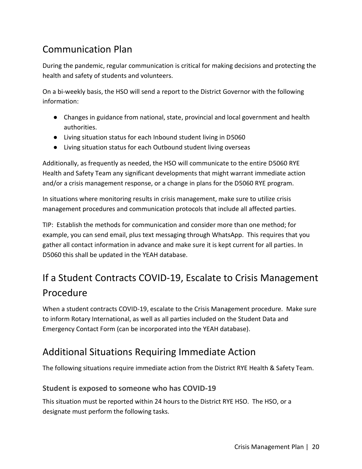## Communication Plan

During the pandemic, regular communication is critical for making decisions and protecting the health and safety of students and volunteers.

On a bi-weekly basis, the HSO will send a report to the District Governor with the following information:

- Changes in guidance from national, state, provincial and local government and health authorities.
- Living situation status for each Inbound student living in D5060
- Living situation status for each Outbound student living overseas

Additionally, as frequently as needed, the HSO will communicate to the entire D5060 RYE Health and Safety Team any significant developments that might warrant immediate action and/or a crisis management response, or a change in plans for the D5060 RYE program.

In situations where monitoring results in crisis management, make sure to utilize crisis management procedures and communication protocols that include all affected parties.

TIP: Establish the methods for communication and consider more than one method; for example, you can send email, plus text messaging through WhatsApp. This requires that you gather all contact information in advance and make sure it is kept current for all parties. In D5060 this shall be updated in the YEAH database.

## If a Student Contracts COVID-19, Escalate to Crisis Management Procedure

When a student contracts COVID-19, escalate to the Crisis Management procedure. Make sure to inform Rotary International, as well as all parties included on the Student Data and Emergency Contact Form (can be incorporated into the YEAH database).

## Additional Situations Requiring Immediate Action

The following situations require immediate action from the District RYE Health & Safety Team.

## **Student is exposed to someone who has COVID-19**

This situation must be reported within 24 hours to the District RYE HSO. The HSO, or a designate must perform the following tasks.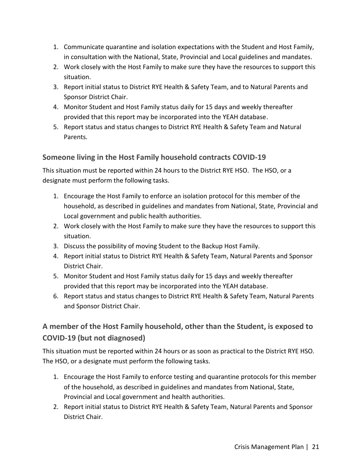- 1. Communicate quarantine and isolation expectations with the Student and Host Family, in consultation with the National, State, Provincial and Local guidelines and mandates.
- 2. Work closely with the Host Family to make sure they have the resources to support this situation.
- 3. Report initial status to District RYE Health & Safety Team, and to Natural Parents and Sponsor District Chair.
- 4. Monitor Student and Host Family status daily for 15 days and weekly thereafter provided that this report may be incorporated into the YEAH database.
- 5. Report status and status changes to District RYE Health & Safety Team and Natural Parents.

## **Someone living in the Host Family household contracts COVID-19**

This situation must be reported within 24 hours to the District RYE HSO. The HSO, or a designate must perform the following tasks.

- 1. Encourage the Host Family to enforce an isolation protocol for this member of the household, as described in guidelines and mandates from National, State, Provincial and Local government and public health authorities.
- 2. Work closely with the Host Family to make sure they have the resources to support this situation.
- 3. Discuss the possibility of moving Student to the Backup Host Family.
- 4. Report initial status to District RYE Health & Safety Team, Natural Parents and Sponsor District Chair.
- 5. Monitor Student and Host Family status daily for 15 days and weekly thereafter provided that this report may be incorporated into the YEAH database.
- 6. Report status and status changes to District RYE Health & Safety Team, Natural Parents and Sponsor District Chair.

## **A member of the Host Family household, other than the Student, is exposed to COVID-19 (but not diagnosed)**

This situation must be reported within 24 hours or as soon as practical to the District RYE HSO. The HSO, or a designate must perform the following tasks.

- 1. Encourage the Host Family to enforce testing and quarantine protocols for this member of the household, as described in guidelines and mandates from National, State, Provincial and Local government and health authorities.
- 2. Report initial status to District RYE Health & Safety Team, Natural Parents and Sponsor District Chair.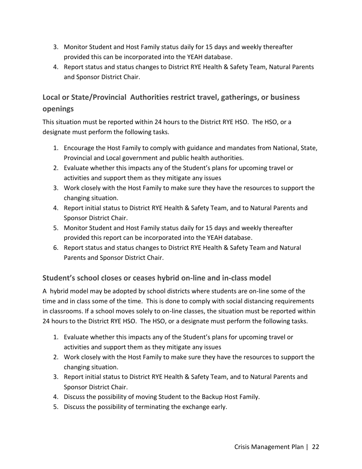- 3. Monitor Student and Host Family status daily for 15 days and weekly thereafter provided this can be incorporated into the YEAH database.
- 4. Report status and status changes to District RYE Health & Safety Team, Natural Parents and Sponsor District Chair.

## **Local or State/Provincial Authorities restrict travel, gatherings, or business openings**

This situation must be reported within 24 hours to the District RYE HSO. The HSO, or a designate must perform the following tasks.

- 1. Encourage the Host Family to comply with guidance and mandates from National, State, Provincial and Local government and public health authorities.
- 2. Evaluate whether this impacts any of the Student's plans for upcoming travel or activities and support them as they mitigate any issues
- 3. Work closely with the Host Family to make sure they have the resources to support the changing situation.
- 4. Report initial status to District RYE Health & Safety Team, and to Natural Parents and Sponsor District Chair.
- 5. Monitor Student and Host Family status daily for 15 days and weekly thereafter provided this report can be incorporated into the YEAH database.
- 6. Report status and status changes to District RYE Health & Safety Team and Natural Parents and Sponsor District Chair.

## **Student's school closes or ceases hybrid on-line and in-class model**

A hybrid model may be adopted by school districts where students are on-line some of the time and in class some of the time. This is done to comply with social distancing requirements in classrooms. If a school moves solely to on-line classes, the situation must be reported within 24 hours to the District RYE HSO. The HSO, or a designate must perform the following tasks.

- 1. Evaluate whether this impacts any of the Student's plans for upcoming travel or activities and support them as they mitigate any issues
- 2. Work closely with the Host Family to make sure they have the resources to support the changing situation.
- 3. Report initial status to District RYE Health & Safety Team, and to Natural Parents and Sponsor District Chair.
- 4. Discuss the possibility of moving Student to the Backup Host Family.
- 5. Discuss the possibility of terminating the exchange early.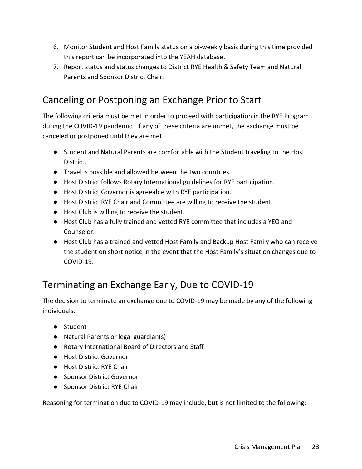- 6. Monitor Student and Host Family status on a bi-weekly basis during this time provided this report can be incorporated into the YEAH database.
- 7. Report status and status changes to District RYE Health & Safety Team and Natural Parents and Sponsor District Chair.

## Canceling or Postponing an Exchange Prior to Start

The following criteria must be met in order to proceed with participation in the RYE Program during the COVID-19 pandemic. If any of these criteria are unmet, the exchange must be canceled or postponed until they are met.

- Student and Natural Parents are comfortable with the Student traveling to the Host District.
- Travel is possible and allowed between the two countries.
- Host District follows Rotary International guidelines for RYE participation.
- Host District Governor is agreeable with RYE participation.
- Host District RYE Chair and Committee are willing to receive the student.
- Host Club is willing to receive the student.
- Host Club has a fully trained and vetted RYE committee that includes a YEO and Counselor.
- Host Club has a trained and vetted Host Family and Backup Host Family who can receive the student on short notice in the event that the Host Family's situation changes due to COVID-19.

## Terminating an Exchange Early, Due to COVID-19

The decision to terminate an exchange due to COVID-19 may be made by any of the following individuals.

- Student
- Natural Parents or legal guardian(s)
- Rotary International Board of Directors and Staff
- Host District Governor
- Host District RYE Chair
- Sponsor District Governor
- Sponsor District RYE Chair

Reasoning for termination due to COVID-19 may include, but is not limited to the following: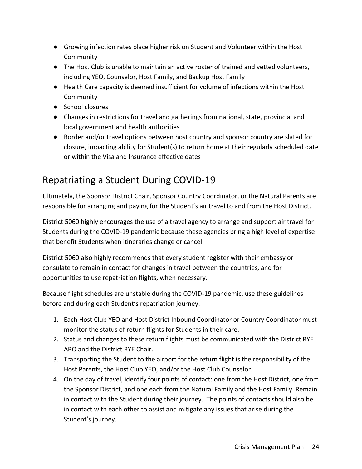- Growing infection rates place higher risk on Student and Volunteer within the Host Community
- The Host Club is unable to maintain an active roster of trained and vetted volunteers, including YEO, Counselor, Host Family, and Backup Host Family
- Health Care capacity is deemed insufficient for volume of infections within the Host Community
- School closures
- Changes in restrictions for travel and gatherings from national, state, provincial and local government and health authorities
- Border and/or travel options between host country and sponsor country are slated for closure, impacting ability for Student(s) to return home at their regularly scheduled date or within the Visa and Insurance effective dates

## Repatriating a Student During COVID-19

Ultimately, the Sponsor District Chair, Sponsor Country Coordinator, or the Natural Parents are responsible for arranging and paying for the Student's air travel to and from the Host District.

District 5060 highly encourages the use of a travel agency to arrange and support air travel for Students during the COVID-19 pandemic because these agencies bring a high level of expertise that benefit Students when itineraries change or cancel.

District 5060 also highly recommends that every student register with their embassy or consulate to remain in contact for changes in travel between the countries, and for opportunities to use repatriation flights, when necessary.

Because flight schedules are unstable during the COVID-19 pandemic, use these guidelines before and during each Student's repatriation journey.

- 1. Each Host Club YEO and Host District Inbound Coordinator or Country Coordinator must monitor the status of return flights for Students in their care.
- 2. Status and changes to these return flights must be communicated with the District RYE ARO and the District RYE Chair.
- 3. Transporting the Student to the airport for the return flight is the responsibility of the Host Parents, the Host Club YEO, and/or the Host Club Counselor.
- 4. On the day of travel, identify four points of contact: one from the Host District, one from the Sponsor District, and one each from the Natural Family and the Host Family. Remain in contact with the Student during their journey. The points of contacts should also be in contact with each other to assist and mitigate any issues that arise during the Student's journey.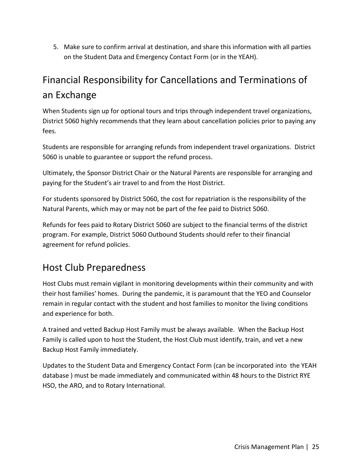5. Make sure to confirm arrival at destination, and share this information with all parties on the Student Data and Emergency Contact Form (or in the YEAH).

## Financial Responsibility for Cancellations and Terminations of an Exchange

When Students sign up for optional tours and trips through independent travel organizations, District 5060 highly recommends that they learn about cancellation policies prior to paying any fees.

Students are responsible for arranging refunds from independent travel organizations. District 5060 is unable to guarantee or support the refund process.

Ultimately, the Sponsor District Chair or the Natural Parents are responsible for arranging and paying for the Student's air travel to and from the Host District.

For students sponsored by District 5060, the cost for repatriation is the responsibility of the Natural Parents, which may or may not be part of the fee paid to District 5060.

Refunds for fees paid to Rotary District 5060 are subject to the financial terms of the district program. For example, District 5060 Outbound Students should refer to their financial agreement for refund policies.

## Host Club Preparedness

Host Clubs must remain vigilant in monitoring developments within their community and with their host families' homes. During the pandemic, it is paramount that the YEO and Counselor remain in regular contact with the student and host families to monitor the living conditions and experience for both.

A trained and vetted Backup Host Family must be always available. When the Backup Host Family is called upon to host the Student, the Host Club must identify, train, and vet a new Backup Host Family immediately.

Updates to the Student Data and Emergency Contact Form (can be incorporated into the YEAH database ) must be made immediately and communicated within 48 hours to the District RYE HSO, the ARO, and to Rotary International.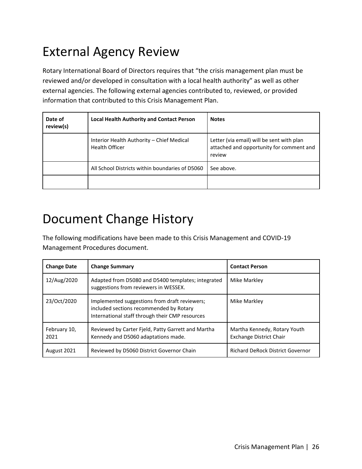## <span id="page-25-0"></span>External Agency Review

Rotary International Board of Directors requires that "the crisis management plan must be reviewed and/or developed in consultation with a local health authority" as well as other external agencies. The following external agencies contributed to, reviewed, or provided information that contributed to this Crisis Management Plan.

| Date of<br>review(s) | <b>Local Health Authority and Contact Person</b>                   | <b>Notes</b>                                                                                    |
|----------------------|--------------------------------------------------------------------|-------------------------------------------------------------------------------------------------|
|                      | Interior Health Authority - Chief Medical<br><b>Health Officer</b> | Letter (via email) will be sent with plan<br>attached and opportunity for comment and<br>review |
|                      | All School Districts within boundaries of D5060                    | See above.                                                                                      |
|                      |                                                                    |                                                                                                 |

## Document Change History

The following modifications have been made to this Crisis Management and COVID-19 Management Procedures document.

| <b>Change Date</b>   | <b>Change Summary</b>                                                                                                                       | <b>Contact Person</b>                                          |
|----------------------|---------------------------------------------------------------------------------------------------------------------------------------------|----------------------------------------------------------------|
| 12/Aug/2020          | Adapted from D5080 and D5400 templates; integrated<br>suggestions from reviewers in WESSEX.                                                 | Mike Markley                                                   |
| 23/Oct/2020          | Implemented suggestions from draft reviewers;<br>included sections recommended by Rotary<br>International staff through their CMP resources | Mike Markley                                                   |
| February 10,<br>2021 | Reviewed by Carter Fjeld, Patty Garrett and Martha<br>Kennedy and D5060 adaptations made.                                                   | Martha Kennedy, Rotary Youth<br><b>Exchange District Chair</b> |
| August 2021          | Reviewed by D5060 District Governor Chain                                                                                                   | <b>Richard DeRock District Governor</b>                        |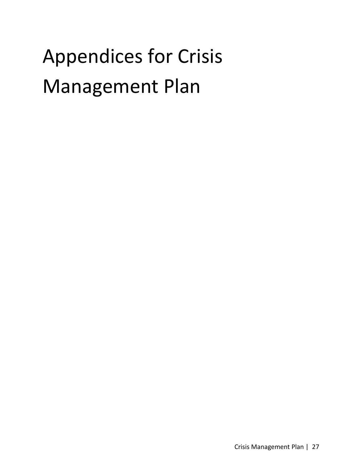# Appendices for Crisis Management Plan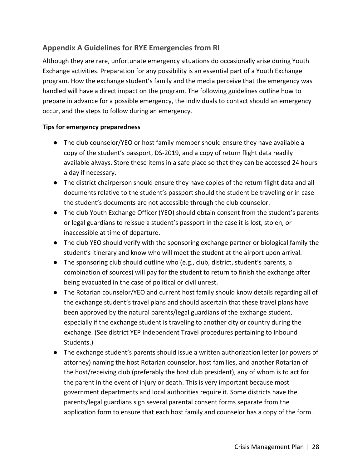## **Appendix A Guidelines for RYE Emergencies from RI**

Although they are rare, unfortunate emergency situations do occasionally arise during Youth Exchange activities. Preparation for any possibility is an essential part of a Youth Exchange program. How the exchange student's family and the media perceive that the emergency was handled will have a direct impact on the program. The following guidelines outline how to prepare in advance for a possible emergency, the individuals to contact should an emergency occur, and the steps to follow during an emergency.

#### **Tips for emergency preparedness**

- The club counselor/YEO or host family member should ensure they have available a copy of the student's passport, DS-2019, and a copy of return flight data readily available always. Store these items in a safe place so that they can be accessed 24 hours a day if necessary.
- The district chairperson should ensure they have copies of the return flight data and all documents relative to the student's passport should the student be traveling or in case the student's documents are not accessible through the club counselor.
- The club Youth Exchange Officer (YEO) should obtain consent from the student's parents or legal guardians to reissue a student's passport in the case it is lost, stolen, or inaccessible at time of departure.
- The club YEO should verify with the sponsoring exchange partner or biological family the student's itinerary and know who will meet the student at the airport upon arrival.
- $\bullet$  The sponsoring club should outline who (e.g., club, district, student's parents, a combination of sources) will pay for the student to return to finish the exchange after being evacuated in the case of political or civil unrest.
- The Rotarian counselor/YEO and current host family should know details regarding all of the exchange student's travel plans and should ascertain that these travel plans have been approved by the natural parents/legal guardians of the exchange student, especially if the exchange student is traveling to another city or country during the exchange. (See district YEP Independent Travel procedures pertaining to Inbound Students.)
- The exchange student's parents should issue a written authorization letter (or powers of attorney) naming the host Rotarian counselor, host families, and another Rotarian of the host/receiving club (preferably the host club president), any of whom is to act for the parent in the event of injury or death. This is very important because most government departments and local authorities require it. Some districts have the parents/legal guardians sign several parental consent forms separate from the application form to ensure that each host family and counselor has a copy of the form.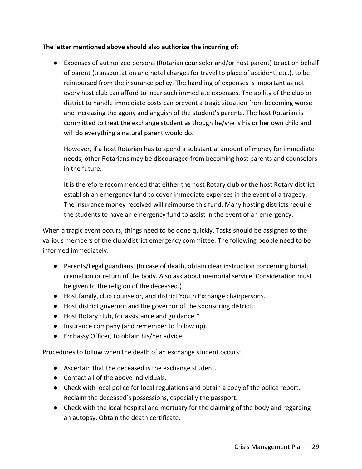#### **The letter mentioned above should also authorize the incurring of:**

● Expenses of authorized persons (Rotarian counselor and/or host parent) to act on behalf of parent (transportation and hotel charges for travel to place of accident, etc.), to be reimbursed from the insurance policy. The handling of expenses is important as not every host club can afford to incur such immediate expenses. The ability of the club or district to handle immediate costs can prevent a tragic situation from becoming worse and increasing the agony and anguish of the student's parents. The host Rotarian is committed to treat the exchange student as though he/she is his or her own child and will do everything a natural parent would do.

However, if a host Rotarian has to spend a substantial amount of money for immediate needs, other Rotarians may be discouraged from becoming host parents and counselors in the future.

It is therefore recommended that either the host Rotary club or the host Rotary district establish an emergency fund to cover immediate expenses in the event of a tragedy. The insurance money received will reimburse this fund. Many hosting districts require the students to have an emergency fund to assist in the event of an emergency.

When a tragic event occurs, things need to be done quickly. Tasks should be assigned to the various members of the club/district emergency committee. The following people need to be informed immediately:

- Parents/Legal guardians. (In case of death, obtain clear instruction concerning burial, cremation or return of the body. Also ask about memorial service. Consideration must be given to the religion of the deceased.)
- Host family, club counselor, and district Youth Exchange chairpersons.
- Host district governor and the governor of the sponsoring district.
- Host Rotary club, for assistance and guidance.\*
- Insurance company (and remember to follow up).
- Embassy Officer, to obtain his/her advice.

Procedures to follow when the death of an exchange student occurs:

- Ascertain that the deceased is the exchange student.
- Contact all of the above individuals.
- Check with local police for local regulations and obtain a copy of the police report. Reclaim the deceased's possessions, especially the passport.
- Check with the local hospital and mortuary for the claiming of the body and regarding an autopsy. Obtain the death certificate.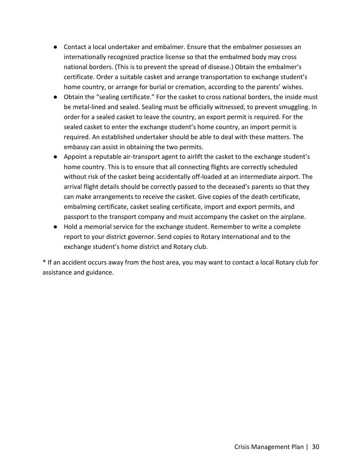- Contact a local undertaker and embalmer. Ensure that the embalmer possesses an internationally recognized practice license so that the embalmed body may cross national borders. (This is to prevent the spread of disease.) Obtain the embalmer's certificate. Order a suitable casket and arrange transportation to exchange student's home country, or arrange for burial or cremation, according to the parents' wishes.
- Obtain the "sealing certificate." For the casket to cross national borders, the inside must be metal-lined and sealed. Sealing must be officially witnessed, to prevent smuggling. In order for a sealed casket to leave the country, an export permit is required. For the sealed casket to enter the exchange student's home country, an import permit is required. An established undertaker should be able to deal with these matters. The embassy can assist in obtaining the two permits.
- Appoint a reputable air-transport agent to airlift the casket to the exchange student's home country. This is to ensure that all connecting flights are correctly scheduled without risk of the casket being accidentally off-loaded at an intermediate airport. The arrival flight details should be correctly passed to the deceased's parents so that they can make arrangements to receive the casket. Give copies of the death certificate, embalming certificate, casket sealing certificate, import and export permits, and passport to the transport company and must accompany the casket on the airplane.
- Hold a memorial service for the exchange student. Remember to write a complete report to your district governor. Send copies to Rotary International and to the exchange student's home district and Rotary club.

\* If an accident occurs away from the host area, you may want to contact a local Rotary club for assistance and guidance.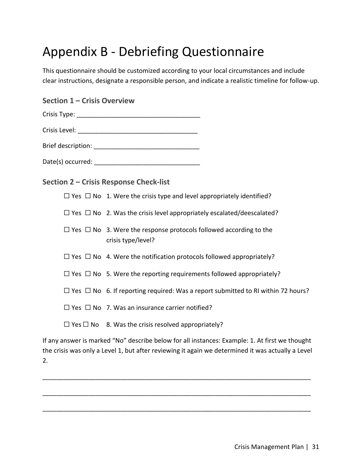## Appendix B - Debriefing Questionnaire

This questionnaire should be customized according to your local circumstances and include clear instructions, designate a responsible person, and indicate a realistic timeline for follow-up.

| <b>Section 1 - Crisis Overview</b> |  |
|------------------------------------|--|
|                                    |  |
|                                    |  |
|                                    |  |
|                                    |  |
|                                    |  |

**Section 2 – Crisis Response Check-list** 

 $\Box$  Yes  $\Box$  No 1. Were the crisis type and level appropriately identified?

 $\Box$  Yes  $\Box$  No 2. Was the crisis level appropriately escalated/deescalated?

| $\Box$ Yes $\Box$ No 3. Were the response protocols followed according to the |
|-------------------------------------------------------------------------------|
| crisis type/level?                                                            |

 $\Box$  Yes  $\Box$  No 4. Were the notification protocols followed appropriately?

 $\Box$  Yes  $\Box$  No 5. Were the reporting requirements followed appropriately?

 $□$  Yes  $□$  No 6. If reporting required: Was a report submitted to RI within 72 hours?

 $\Box$  Yes  $\Box$  No 7. Was an insurance carrier notified?

 $\Box$  Yes  $\Box$  No 8. Was the crisis resolved appropriately?

If any answer is marked "No" describe below for all instances: Example: 1. At first we thought the crisis was only a Level 1, but after reviewing it again we determined it was actually a Level 2.

\_\_\_\_\_\_\_\_\_\_\_\_\_\_\_\_\_\_\_\_\_\_\_\_\_\_\_\_\_\_\_\_\_\_\_\_\_\_\_\_\_\_\_\_\_\_\_\_\_\_\_\_\_\_\_\_\_\_\_\_\_\_\_\_\_\_\_\_\_\_\_\_\_\_\_\_

\_\_\_\_\_\_\_\_\_\_\_\_\_\_\_\_\_\_\_\_\_\_\_\_\_\_\_\_\_\_\_\_\_\_\_\_\_\_\_\_\_\_\_\_\_\_\_\_\_\_\_\_\_\_\_\_\_\_\_\_\_\_\_\_\_\_\_\_\_\_\_\_\_\_\_\_

\_\_\_\_\_\_\_\_\_\_\_\_\_\_\_\_\_\_\_\_\_\_\_\_\_\_\_\_\_\_\_\_\_\_\_\_\_\_\_\_\_\_\_\_\_\_\_\_\_\_\_\_\_\_\_\_\_\_\_\_\_\_\_\_\_\_\_\_\_\_\_\_\_\_\_\_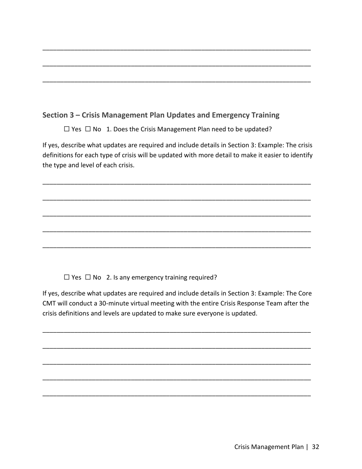## **Section 3 – Crisis Management Plan Updates and Emergency Training**

☐ Yes ☐ No 1. Does the Crisis Management Plan need to be updated?

If yes, describe what updates are required and include details in Section 3: Example: The crisis definitions for each type of crisis will be updated with more detail to make it easier to identify the type and level of each crisis.

\_\_\_\_\_\_\_\_\_\_\_\_\_\_\_\_\_\_\_\_\_\_\_\_\_\_\_\_\_\_\_\_\_\_\_\_\_\_\_\_\_\_\_\_\_\_\_\_\_\_\_\_\_\_\_\_\_\_\_\_\_\_\_\_\_\_\_\_\_\_\_\_\_\_\_\_

\_\_\_\_\_\_\_\_\_\_\_\_\_\_\_\_\_\_\_\_\_\_\_\_\_\_\_\_\_\_\_\_\_\_\_\_\_\_\_\_\_\_\_\_\_\_\_\_\_\_\_\_\_\_\_\_\_\_\_\_\_\_\_\_\_\_\_\_\_\_\_\_\_\_\_\_

\_\_\_\_\_\_\_\_\_\_\_\_\_\_\_\_\_\_\_\_\_\_\_\_\_\_\_\_\_\_\_\_\_\_\_\_\_\_\_\_\_\_\_\_\_\_\_\_\_\_\_\_\_\_\_\_\_\_\_\_\_\_\_\_\_\_\_\_\_\_\_\_\_\_\_\_

\_\_\_\_\_\_\_\_\_\_\_\_\_\_\_\_\_\_\_\_\_\_\_\_\_\_\_\_\_\_\_\_\_\_\_\_\_\_\_\_\_\_\_\_\_\_\_\_\_\_\_\_\_\_\_\_\_\_\_\_\_\_\_\_\_\_\_\_\_\_\_\_\_\_\_\_

\_\_\_\_\_\_\_\_\_\_\_\_\_\_\_\_\_\_\_\_\_\_\_\_\_\_\_\_\_\_\_\_\_\_\_\_\_\_\_\_\_\_\_\_\_\_\_\_\_\_\_\_\_\_\_\_\_\_\_\_\_\_\_\_\_\_\_\_\_\_\_\_\_\_\_\_

\_\_\_\_\_\_\_\_\_\_\_\_\_\_\_\_\_\_\_\_\_\_\_\_\_\_\_\_\_\_\_\_\_\_\_\_\_\_\_\_\_\_\_\_\_\_\_\_\_\_\_\_\_\_\_\_\_\_\_\_\_\_\_\_\_\_\_\_\_\_\_\_\_\_\_\_

\_\_\_\_\_\_\_\_\_\_\_\_\_\_\_\_\_\_\_\_\_\_\_\_\_\_\_\_\_\_\_\_\_\_\_\_\_\_\_\_\_\_\_\_\_\_\_\_\_\_\_\_\_\_\_\_\_\_\_\_\_\_\_\_\_\_\_\_\_\_\_\_\_\_\_\_

\_\_\_\_\_\_\_\_\_\_\_\_\_\_\_\_\_\_\_\_\_\_\_\_\_\_\_\_\_\_\_\_\_\_\_\_\_\_\_\_\_\_\_\_\_\_\_\_\_\_\_\_\_\_\_\_\_\_\_\_\_\_\_\_\_\_\_\_\_\_\_\_\_\_\_\_

 $\Box$  Yes  $\Box$  No 2. Is any emergency training required?

If yes, describe what updates are required and include details in Section 3: Example: The Core CMT will conduct a 30-minute virtual meeting with the entire Crisis Response Team after the crisis definitions and levels are updated to make sure everyone is updated.

\_\_\_\_\_\_\_\_\_\_\_\_\_\_\_\_\_\_\_\_\_\_\_\_\_\_\_\_\_\_\_\_\_\_\_\_\_\_\_\_\_\_\_\_\_\_\_\_\_\_\_\_\_\_\_\_\_\_\_\_\_\_\_\_\_\_\_\_\_\_\_\_\_\_\_\_

\_\_\_\_\_\_\_\_\_\_\_\_\_\_\_\_\_\_\_\_\_\_\_\_\_\_\_\_\_\_\_\_\_\_\_\_\_\_\_\_\_\_\_\_\_\_\_\_\_\_\_\_\_\_\_\_\_\_\_\_\_\_\_\_\_\_\_\_\_\_\_\_\_\_\_\_

\_\_\_\_\_\_\_\_\_\_\_\_\_\_\_\_\_\_\_\_\_\_\_\_\_\_\_\_\_\_\_\_\_\_\_\_\_\_\_\_\_\_\_\_\_\_\_\_\_\_\_\_\_\_\_\_\_\_\_\_\_\_\_\_\_\_\_\_\_\_\_\_\_\_\_\_

\_\_\_\_\_\_\_\_\_\_\_\_\_\_\_\_\_\_\_\_\_\_\_\_\_\_\_\_\_\_\_\_\_\_\_\_\_\_\_\_\_\_\_\_\_\_\_\_\_\_\_\_\_\_\_\_\_\_\_\_\_\_\_\_\_\_\_\_\_\_\_\_\_\_\_\_

\_\_\_\_\_\_\_\_\_\_\_\_\_\_\_\_\_\_\_\_\_\_\_\_\_\_\_\_\_\_\_\_\_\_\_\_\_\_\_\_\_\_\_\_\_\_\_\_\_\_\_\_\_\_\_\_\_\_\_\_\_\_\_\_\_\_\_\_\_\_\_\_\_\_\_\_

Crisis Management Plan | 32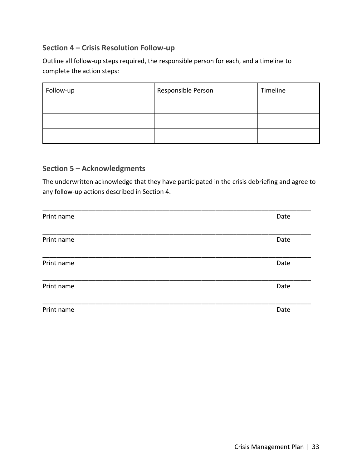## **Section 4 – Crisis Resolution Follow-up**

Outline all follow-up steps required, the responsible person for each, and a timeline to complete the action steps:

| Follow-up | Responsible Person | Timeline |
|-----------|--------------------|----------|
|           |                    |          |
|           |                    |          |
|           |                    |          |

## **Section 5 – Acknowledgments**

The underwritten acknowledge that they have participated in the crisis debriefing and agree to any follow-up actions described in Section 4.

| Print name | Date |
|------------|------|
|            |      |
| Print name | Date |
|            |      |
| Print name | Date |
|            |      |
| Print name | Date |
|            |      |
| Print name | Date |
|            |      |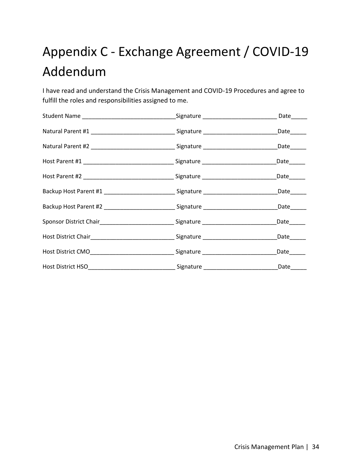# Appendix C - Exchange Agreement / COVID-19 Addendum

I have read and understand the Crisis Management and COVID-19 Procedures and agree to fulfill the roles and responsibilities assigned to me.

| Natural Parent #1 __________________________________Signature _______________________________Date_______  |                         |
|-----------------------------------------------------------------------------------------------------------|-------------------------|
| Natural Parent #2 __________________________________Signature _______________________________Date_______  |                         |
|                                                                                                           | $Date$ <sub>_____</sub> |
|                                                                                                           | Date______              |
| Backup Host Parent #1 _______________________________Signature _______________________________Date_______ |                         |
| Backup Host Parent #2 ____________________________Signature ______________________________Date______      |                         |
| Sponsor District Chair________________________________Signature _________________                         | Date______              |
|                                                                                                           | Date ______             |
| Host District CMO_________________________________Signature ____________________                          | Date______              |
|                                                                                                           |                         |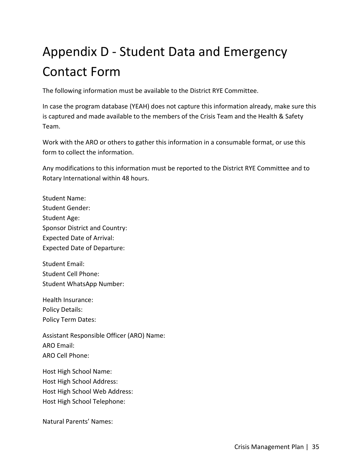# Appendix D - Student Data and Emergency Contact Form

The following information must be available to the District RYE Committee.

In case the program database (YEAH) does not capture this information already, make sure this is captured and made available to the members of the Crisis Team and the Health & Safety Team.

Work with the ARO or others to gather this information in a consumable format, or use this form to collect the information.

Any modifications to this information must be reported to the District RYE Committee and to Rotary International within 48 hours.

Student Name: Student Gender: Student Age: Sponsor District and Country: Expected Date of Arrival: Expected Date of Departure:

Student Email: Student Cell Phone: Student WhatsApp Number:

Health Insurance: Policy Details: Policy Term Dates:

Assistant Responsible Officer (ARO) Name: ARO Email: ARO Cell Phone:

Host High School Name: Host High School Address: Host High School Web Address: Host High School Telephone:

Natural Parents' Names: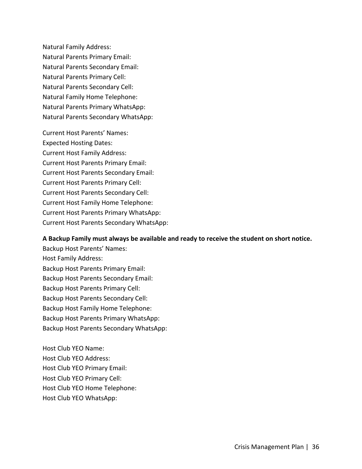Natural Family Address: Natural Parents Primary Email: Natural Parents Secondary Email: Natural Parents Primary Cell: Natural Parents Secondary Cell: Natural Family Home Telephone: Natural Parents Primary WhatsApp: Natural Parents Secondary WhatsApp:

Current Host Parents' Names: Expected Hosting Dates: Current Host Family Address: Current Host Parents Primary Email: Current Host Parents Secondary Email: Current Host Parents Primary Cell: Current Host Parents Secondary Cell: Current Host Family Home Telephone: Current Host Parents Primary WhatsApp: Current Host Parents Secondary WhatsApp:

#### **A Backup Family must always be available and ready to receive the student on short notice.**

Backup Host Parents' Names: Host Family Address: Backup Host Parents Primary Email: Backup Host Parents Secondary Email: Backup Host Parents Primary Cell: Backup Host Parents Secondary Cell: Backup Host Family Home Telephone: Backup Host Parents Primary WhatsApp: Backup Host Parents Secondary WhatsApp:

Host Club YEO Name: Host Club YEO Address: Host Club YEO Primary Email: Host Club YEO Primary Cell: Host Club YEO Home Telephone: Host Club YEO WhatsApp: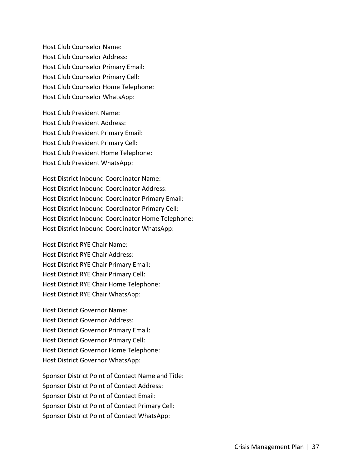Host Club Counselor Name: Host Club Counselor Address: Host Club Counselor Primary Email: Host Club Counselor Primary Cell: Host Club Counselor Home Telephone: Host Club Counselor WhatsApp:

Host Club President Name: Host Club President Address: Host Club President Primary Email: Host Club President Primary Cell: Host Club President Home Telephone: Host Club President WhatsApp:

Host District Inbound Coordinator Name: Host District Inbound Coordinator Address: Host District Inbound Coordinator Primary Email: Host District Inbound Coordinator Primary Cell: Host District Inbound Coordinator Home Telephone: Host District Inbound Coordinator WhatsApp:

Host District RYE Chair Name: Host District RYE Chair Address: Host District RYE Chair Primary Email: Host District RYE Chair Primary Cell: Host District RYE Chair Home Telephone: Host District RYE Chair WhatsApp:

Host District Governor Name: Host District Governor Address: Host District Governor Primary Email: Host District Governor Primary Cell: Host District Governor Home Telephone: Host District Governor WhatsApp:

Sponsor District Point of Contact Name and Title: Sponsor District Point of Contact Address: Sponsor District Point of Contact Email: Sponsor District Point of Contact Primary Cell: Sponsor District Point of Contact WhatsApp: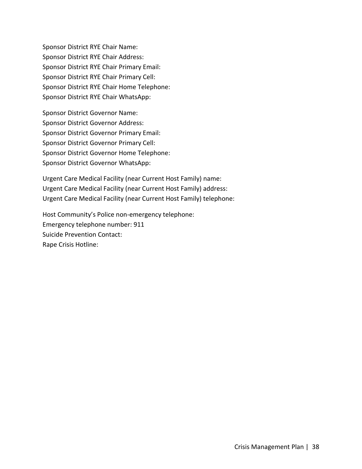Sponsor District RYE Chair Name: Sponsor District RYE Chair Address: Sponsor District RYE Chair Primary Email: Sponsor District RYE Chair Primary Cell: Sponsor District RYE Chair Home Telephone: Sponsor District RYE Chair WhatsApp:

Sponsor District Governor Name: Sponsor District Governor Address: Sponsor District Governor Primary Email: Sponsor District Governor Primary Cell: Sponsor District Governor Home Telephone: Sponsor District Governor WhatsApp:

Urgent Care Medical Facility (near Current Host Family) name: Urgent Care Medical Facility (near Current Host Family) address: Urgent Care Medical Facility (near Current Host Family) telephone:

Host Community's Police non-emergency telephone: Emergency telephone number: 911 Suicide Prevention Contact: Rape Crisis Hotline: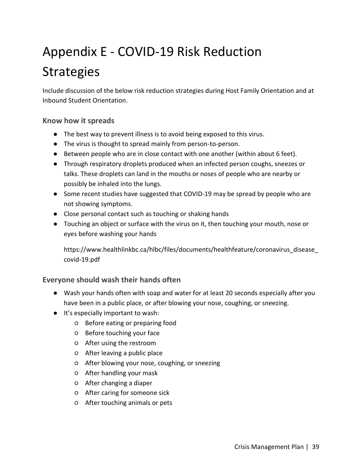# Appendix E - COVID-19 Risk Reduction **Strategies**

Include discussion of the below risk reduction strategies during Host Family Orientation and at Inbound Student Orientation.

#### **Know how it spreads**

- The best way to prevent illness is to avoid being exposed to this virus.
- The virus is thought to spread mainly from person-to-person.
- Between people who are in close contact with one another (within about 6 feet).
- Through respiratory droplets produced when an infected person coughs, sneezes or talks. These droplets can land in the mouths or noses of people who are nearby or possibly be inhaled into the lungs.
- Some recent studies have suggested that COVID-19 may be spread by people who are not showing symptoms.
- Close personal contact such as touching or shaking hands
- Touching an object or surface with the virus on it, then touching your mouth, nose or eyes before washing your hands

https://www.healthlinkbc.ca/hlbc/files/documents/healthfeature/coronavirus\_disease\_ covid-19.pdf

#### **Everyone should wash their hands often**

- Wash your hands often with soap and water for at least 20 seconds especially after you have been in a public place, or after blowing your nose, coughing, or sneezing.
- It's especially important to wash:
	- Before eating or preparing food
	- Before touching your face
	- After using the restroom
	- After leaving a public place
	- After blowing your nose, coughing, or sneezing
	- After handling your mask
	- After changing a diaper
	- After caring for someone sick
	- After touching animals or pets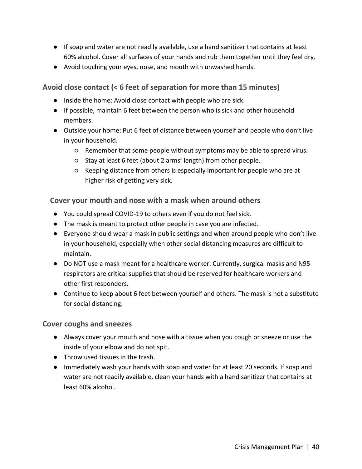- If soap and water are not readily available, use a hand sanitizer that contains at least 60% alcohol. Cover all surfaces of your hands and rub them together until they feel dry.
- Avoid touching your eyes, nose, and mouth with unwashed hands.

## **Avoid close contact (< 6 feet of separation for more than 15 minutes)**

- Inside the home: Avoid close contact with people who are sick.
- If possible, maintain 6 feet between the person who is sick and other household members.
- Outside your home: Put 6 feet of distance between yourself and people who don't live in your household.
	- Remember that some people without symptoms may be able to spread virus.
	- Stay at least 6 feet (about 2 arms' length) from other people.
	- Keeping distance from others is especially important for people who are at higher risk of getting very sick.

## **Cover your mouth and nose with a mask when around others**

- You could spread COVID-19 to others even if you do not feel sick.
- The mask is meant to protect other people in case you are infected.
- Everyone should wear a mask in public settings and when around people who don't live in your household, especially when other social distancing measures are difficult to maintain.
- Do NOT use a mask meant for a healthcare worker. Currently, surgical masks and N95 respirators are critical supplies that should be reserved for healthcare workers and other first responders.
- Continue to keep about 6 feet between yourself and others. The mask is not a substitute for social distancing.

## **Cover coughs and sneezes**

- Always cover your mouth and nose with a tissue when you cough or sneeze or use the inside of your elbow and do not spit.
- Throw used tissues in the trash.
- Immediately wash your hands with soap and water for at least 20 seconds. If soap and water are not readily available, clean your hands with a hand sanitizer that contains at least 60% alcohol.